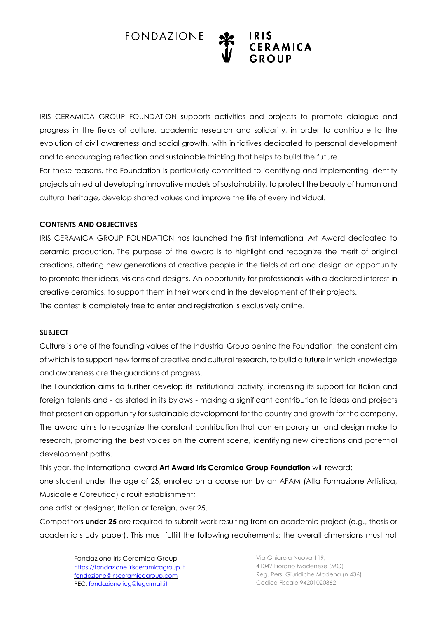

IRIS CERAMICA GROUP FOUNDATION supports activities and projects to promote dialogue and progress in the fields of culture, academic research and solidarity, in order to contribute to the evolution of civil awareness and social growth, with initiatives dedicated to personal development and to encouraging reflection and sustainable thinking that helps to build the future.

For these reasons, the Foundation is particularly committed to identifying and implementing identity projects aimed at developing innovative models of sustainability, to protect the beauty of human and cultural heritage, develop shared values and improve the life of every individual.

## **CONTENTS AND OBJECTIVES**

IRIS CERAMICA GROUP FOUNDATION has launched the first International Art Award dedicated to ceramic production. The purpose of the award is to highlight and recognize the merit of original creations, offering new generations of creative people in the fields of art and design an opportunity to promote their ideas, visions and designs. An opportunity for professionals with a declared interest in creative ceramics, to support them in their work and in the development of their projects. The contest is completely free to enter and registration is exclusively online.

#### **SUBJECT**

Culture is one of the founding values of the Industrial Group behind the Foundation, the constant aim of which is to support new forms of creative and cultural research, to build a future in which knowledge and awareness are the guardians of progress.

The Foundation aims to further develop its institutional activity, increasing its support for Italian and foreign talents and - as stated in its bylaws - making a significant contribution to ideas and projects that present an opportunity for sustainable development for the country and growth for the company. The award aims to recognize the constant contribution that contemporary art and design make to research, promoting the best voices on the current scene, identifying new directions and potential development paths.

This year, the international award **Art Award Iris Ceramica Group Foundation** will reward:

one student under the age of 25, enrolled on a course run by an AFAM (Alta Formazione Artistica, Musicale e Coreutica) circuit establishment;

one artist or designer, Italian or foreign, over 25.

Competitors **under 25** are required to submit work resulting from an academic project (e.g., thesis or academic study paper). This must fulfill the following requirements: the overall dimensions must not

Fondazione Iris Ceramica Group [https://fondazione.irisceramicagroup.it](https://fondazione.irisceramicagroup.it/) fondazione@irisceramicagroup.com PEC: [fondazione.icg@legalmail.it](mailto:fondazione.icg@legalmail.it)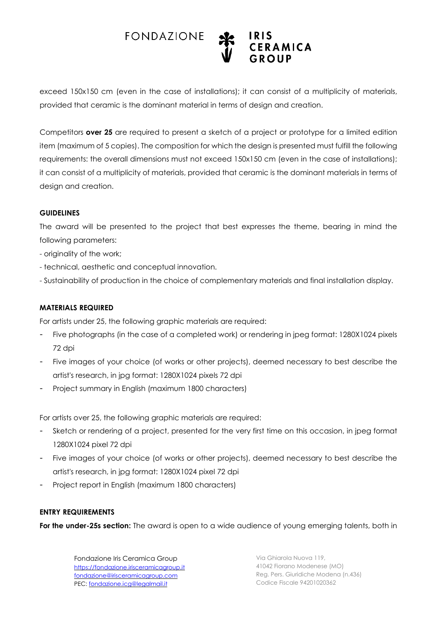

exceed 150x150 cm (even in the case of installations); it can consist of a multiplicity of materials, provided that ceramic is the dominant material in terms of design and creation.

Competitors **over 25** are required to present a sketch of a project or prototype for a limited edition item (maximum of 5 copies). The composition for which the design is presented must fulfill the following requirements: the overall dimensions must not exceed 150x150 cm (even in the case of installations); it can consist of a multiplicity of materials, provided that ceramic is the dominant materials in terms of design and creation.

#### **GUIDELINES**

The award will be presented to the project that best expresses the theme, bearing in mind the following parameters:

- originality of the work;
- technical, aesthetic and conceptual innovation.
- Sustainability of production in the choice of complementary materials and final installation display.

#### **MATERIALS REQUIRED**

For artists under 25, the following graphic materials are required:

- Five photographs (in the case of a completed work) or rendering in jpeg format: 1280X1024 pixels 72 dpi
- Five images of your choice (of works or other projects), deemed necessary to best describe the artist's research, in jpg format: 1280X1024 pixels 72 dpi
- Project summary in English (maximum 1800 characters)

For artists over 25, the following graphic materials are required:

- Sketch or rendering of a project, presented for the very first time on this occasion, in jpeg format 1280X1024 pixel 72 dpi
- Five images of your choice (of works or other projects), deemed necessary to best describe the artist's research, in jpg format: 1280X1024 pixel 72 dpi
- Project report in English (maximum 1800 characters)

#### **ENTRY REQUIREMENTS**

**For the under-25s section:** The award is open to a wide audience of young emerging talents, both in

Fondazione Iris Ceramica Group [https://fondazione.irisceramicagroup.it](https://fondazione.irisceramicagroup.it/) fondazione@irisceramicagroup.com PEC: [fondazione.icg@legalmail.it](mailto:fondazione.icg@legalmail.it)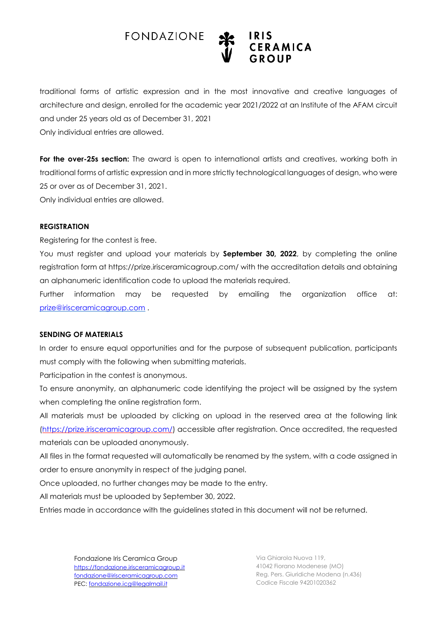

traditional forms of artistic expression and in the most innovative and creative languages of architecture and design, enrolled for the academic year 2021/2022 at an Institute of the AFAM circuit and under 25 years old as of December 31, 2021 Only individual entries are allowed.

**For the over-25s section:** The award is open to international artists and creatives, working both in traditional forms of artistic expression and in more strictly technological languages of design, who were 25 or over as of December 31, 2021.

Only individual entries are allowed.

#### **REGISTRATION**

Registering for the contest is free.

You must register and upload your materials by **September 30, 2022**, by completing the online registration form at https://prize.irisceramicagroup.com/ with the accreditation details and obtaining an alphanumeric identification code to upload the materials required.

Further information may be requested by emailing the organization office at: [prize@irisceramicagroup.com](mailto:prize@irisceramicagroup.com) .

#### **SENDING OF MATERIALS**

In order to ensure equal opportunities and for the purpose of subsequent publication, participants must comply with the following when submitting materials.

Participation in the contest is anonymous.

To ensure anonymity, an alphanumeric code identifying the project will be assigned by the system when completing the online registration form.

All materials must be uploaded by clicking on upload in the reserved area at the following link [\(https://prize.irisceramicagroup.com/\)](https://prize.irisceramicagroup.com/) accessible after registration. Once accredited, the requested materials can be uploaded anonymously.

All files in the format requested will automatically be renamed by the system, with a code assigned in order to ensure anonymity in respect of the judging panel.

Once uploaded, no further changes may be made to the entry.

All materials must be uploaded by September 30, 2022.

Entries made in accordance with the guidelines stated in this document will not be returned.

Fondazione Iris Ceramica Group [https://fondazione.irisceramicagroup.it](https://fondazione.irisceramicagroup.it/) fondazione@irisceramicagroup.com PEC: [fondazione.icg@legalmail.it](mailto:fondazione.icg@legalmail.it)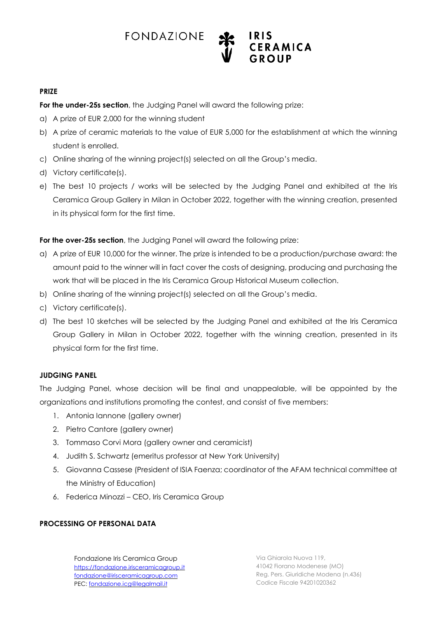

### **PRIZE**

**For the under-25s section**, the Judging Panel will award the following prize:

- a) A prize of EUR 2,000 for the winning student
- b) A prize of ceramic materials to the value of EUR 5,000 for the establishment at which the winning student is enrolled.
- c) Online sharing of the winning project(s) selected on all the Group's media.
- d) Victory certificate(s).
- e) The best 10 projects / works will be selected by the Judging Panel and exhibited at the Iris Ceramica Group Gallery in Milan in October 2022, together with the winning creation, presented in its physical form for the first time.

**For the over-25s section**, the Judging Panel will award the following prize:

- a) A prize of EUR 10,000 for the winner. The prize is intended to be a production/purchase award: the amount paid to the winner will in fact cover the costs of designing, producing and purchasing the work that will be placed in the Iris Ceramica Group Historical Museum collection.
- b) Online sharing of the winning project(s) selected on all the Group's media.
- c) Victory certificate(s).
- d) The best 10 sketches will be selected by the Judging Panel and exhibited at the Iris Ceramica Group Gallery in Milan in October 2022, together with the winning creation, presented in its physical form for the first time.

## **JUDGING PANEL**

The Judging Panel, whose decision will be final and unappealable, will be appointed by the organizations and institutions promoting the contest, and consist of five members:

- 1. Antonia Iannone (gallery owner)
- 2. Pietro Cantore (gallery owner)
- 3. Tommaso Corvi Mora (gallery owner and ceramicist)
- 4. Judith S. Schwartz (emeritus professor at New York University)
- 5. Giovanna Cassese (President of ISIA Faenza; coordinator of the AFAM technical committee at the Ministry of Education)
- 6. Federica Minozzi CEO, Iris Ceramica Group

## **PROCESSING OF PERSONAL DATA**

Fondazione Iris Ceramica Group [https://fondazione.irisceramicagroup.it](https://fondazione.irisceramicagroup.it/) fondazione@irisceramicagroup.com PEC: [fondazione.icg@legalmail.it](mailto:fondazione.icg@legalmail.it)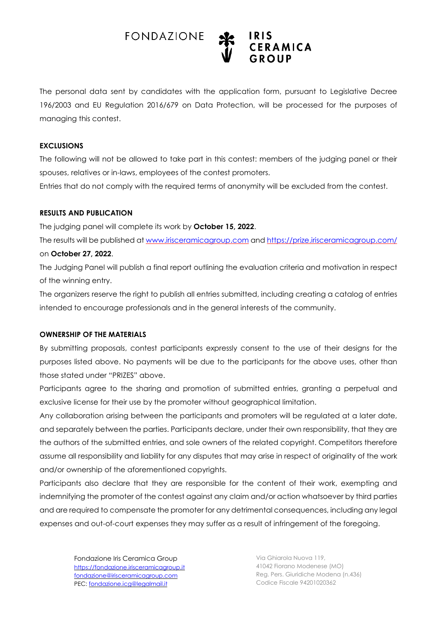

The personal data sent by candidates with the application form, pursuant to Legislative Decree 196/2003 and EU Regulation 2016/679 on Data Protection, will be processed for the purposes of managing this contest.

#### **EXCLUSIONS**

The following will not be allowed to take part in this contest: members of the judging panel or their spouses, relatives or in-laws, employees of the contest promoters.

Entries that do not comply with the required terms of anonymity will be excluded from the contest.

#### **RESULTS AND PUBLICATION**

The judging panel will complete its work by **October 15, 2022**.

The results will be published at [www.irisceramicagroup.com](http://www.irisceramicagroup.com/) and <https://prize.irisceramicagroup.com/> on **October 27, 2022**.

The Judging Panel will publish a final report outlining the evaluation criteria and motivation in respect of the winning entry.

The organizers reserve the right to publish all entries submitted, including creating a catalog of entries intended to encourage professionals and in the general interests of the community.

#### **OWNERSHIP OF THE MATERIALS**

By submitting proposals, contest participants expressly consent to the use of their designs for the purposes listed above. No payments will be due to the participants for the above uses, other than those stated under "PRIZES" above.

Participants agree to the sharing and promotion of submitted entries, granting a perpetual and exclusive license for their use by the promoter without geographical limitation.

Any collaboration arising between the participants and promoters will be regulated at a later date, and separately between the parties. Participants declare, under their own responsibility, that they are the authors of the submitted entries, and sole owners of the related copyright. Competitors therefore assume all responsibility and liability for any disputes that may arise in respect of originality of the work and/or ownership of the aforementioned copyrights.

Participants also declare that they are responsible for the content of their work, exempting and indemnifying the promoter of the contest against any claim and/or action whatsoever by third parties and are required to compensate the promoter for any detrimental consequences, including any legal expenses and out-of-court expenses they may suffer as a result of infringement of the foregoing.

Fondazione Iris Ceramica Group [https://fondazione.irisceramicagroup.it](https://fondazione.irisceramicagroup.it/) fondazione@irisceramicagroup.com PEC: [fondazione.icg@legalmail.it](mailto:fondazione.icg@legalmail.it)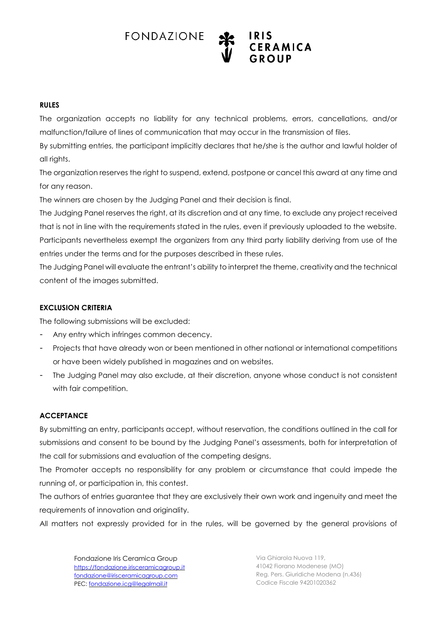

## **RULES**

The organization accepts no liability for any technical problems, errors, cancellations, and/or malfunction/failure of lines of communication that may occur in the transmission of files.

By submitting entries, the participant implicitly declares that he/she is the author and lawful holder of all rights.

The organization reserves the right to suspend, extend, postpone or cancel this award at any time and for any reason.

The winners are chosen by the Judging Panel and their decision is final.

The Judging Panel reserves the right, at its discretion and at any time, to exclude any project received that is not in line with the requirements stated in the rules, even if previously uploaded to the website. Participants nevertheless exempt the organizers from any third party liability deriving from use of the entries under the terms and for the purposes described in these rules.

The Judging Panel will evaluate the entrant's ability to interpret the theme, creativity and the technical content of the images submitted.

## **EXCLUSION CRITERIA**

The following submissions will be excluded:

- Any entry which infringes common decency.
- Projects that have already won or been mentioned in other national or international competitions or have been widely published in magazines and on websites.
- The Judging Panel may also exclude, at their discretion, anyone whose conduct is not consistent with fair competition.

## **ACCEPTANCE**

By submitting an entry, participants accept, without reservation, the conditions outlined in the call for submissions and consent to be bound by the Judging Panel's assessments, both for interpretation of the call for submissions and evaluation of the competing designs.

The Promoter accepts no responsibility for any problem or circumstance that could impede the running of, or participation in, this contest.

The authors of entries guarantee that they are exclusively their own work and ingenuity and meet the requirements of innovation and originality.

All matters not expressly provided for in the rules, will be governed by the general provisions of

Fondazione Iris Ceramica Group [https://fondazione.irisceramicagroup.it](https://fondazione.irisceramicagroup.it/) fondazione@irisceramicagroup.com PEC: [fondazione.icg@legalmail.it](mailto:fondazione.icg@legalmail.it)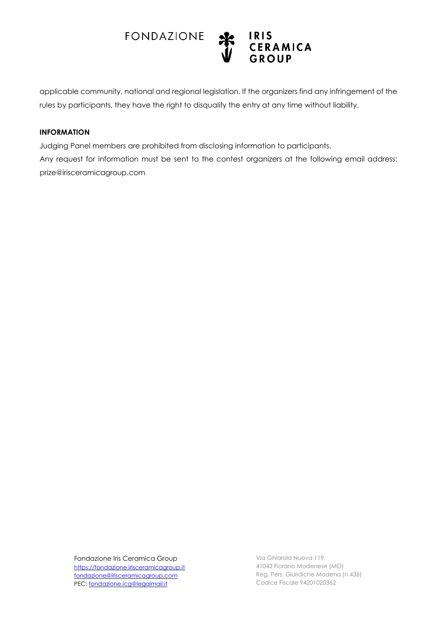

applicable community, national and regional legislation. If the organizers find any infringement of the rules by participants, they have the right to disqualify the entry at any time without liability.

#### **INFORMATION**

Judging Panel members are prohibited from disclosing information to participants. Any request for information must be sent to the contest organizers at the following email address: prize@irisceramicagroup.com

Fondazione Iris Ceramica Group [https://fondazione.irisceramicagroup.it](https://fondazione.irisceramicagroup.it/) fondazione@irisceramicagroup.com PEC: [fondazione.icg@legalmail.it](mailto:fondazione.icg@legalmail.it)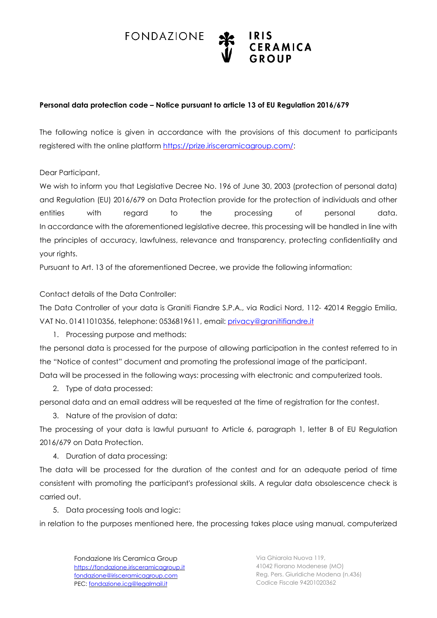



## **Personal data protection code – Notice pursuant to article 13 of EU Regulation 2016/679**

The following notice is given in accordance with the provisions of this document to participants registered with the online platform [https://prize.irisceramicagroup.com/:](https://prize.irisceramicagroup.com/)

Dear Participant,

We wish to inform you that Legislative Decree No. 196 of June 30, 2003 (protection of personal data) and Regulation (EU) 2016/679 on Data Protection provide for the protection of individuals and other entities with regard to the processing of personal data. In accordance with the aforementioned legislative decree, this processing will be handled in line with the principles of accuracy, lawfulness, relevance and transparency, protecting confidentiality and your rights.

Pursuant to Art. 13 of the aforementioned Decree, we provide the following information:

Contact details of the Data Controller:

The Data Controller of your data is Graniti Fiandre S.P.A., via Radici Nord, 112- 42014 Reggio Emilia, VAT No. 01411010356, telephone: 0536819611, email: [privacy@granitifiandre.it](mailto:privacy@granitifiandre.it) 

1. Processing purpose and methods:

the personal data is processed for the purpose of allowing participation in the contest referred to in the "Notice of contest" document and promoting the professional image of the participant.

Data will be processed in the following ways: processing with electronic and computerized tools.

2. Type of data processed:

personal data and an email address will be requested at the time of registration for the contest.

3. Nature of the provision of data:

The processing of your data is lawful pursuant to Article 6, paragraph 1, letter B of EU Regulation 2016/679 on Data Protection.

4. Duration of data processing:

The data will be processed for the duration of the contest and for an adequate period of time consistent with promoting the participant's professional skills. A regular data obsolescence check is carried out.

5. Data processing tools and logic:

in relation to the purposes mentioned here, the processing takes place using manual, computerized

Fondazione Iris Ceramica Group [https://fondazione.irisceramicagroup.it](https://fondazione.irisceramicagroup.it/) fondazione@irisceramicagroup.com PEC: [fondazione.icg@legalmail.it](mailto:fondazione.icg@legalmail.it)